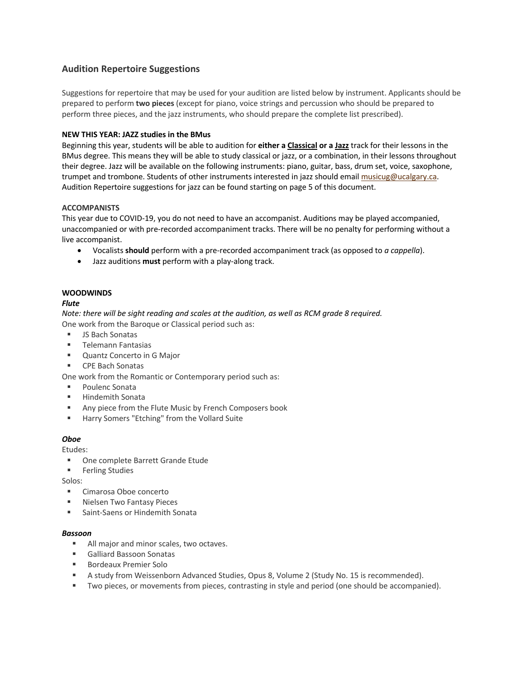# **Audition Repertoire Suggestions**

Suggestions for repertoire that may be used for your audition are listed below by instrument. Applicants should be prepared to perform **two pieces** (except for piano, voice strings and percussion who should be prepared to perform three pieces, and the jazz instruments, who should prepare the complete list prescribed).

## **NEW THIS YEAR: JAZZ studies in the BMus**

Beginning this year, students will be able to audition for **either a Classical or a Jazz** track for their lessons in the BMus degree. This means they will be able to study classical or jazz, or a combination, in their lessons throughout their degree. Jazz will be available on the following instruments: piano, guitar, bass, drum set, voice, saxophone, trumpet and trombone. Students of other instruments interested in jazz should email musicug@ucalgary.ca. Audition Repertoire suggestions for jazz can be found starting on page 5 of this document.

### **ACCOMPANISTS**

This year due to COVID-19, you do not need to have an accompanist. Auditions may be played accompanied, unaccompanied or with pre-recorded accompaniment tracks. There will be no penalty for performing without a live accompanist.

- Vocalists **should** perform with a pre-recorded accompaniment track (as opposed to *a cappella*).
- Jazz auditions **must** perform with a play-along track.

## **WOODWINDS**

### *Flute*

*Note: there will be sight reading and scales at the audition, as well as RCM grade 8 required.* One work from the Baroque or Classical period such as:

- JS Bach Sonatas
- **■** Telemann Fantasias
- Ouantz Concerto in G Major
- CPE Bach Sonatas

One work from the Romantic or Contemporary period such as:

- Poulenc Sonata
- § Hindemith Sonata
- Any piece from the Flute Music by French Composers book
- Harry Somers "Etching" from the Vollard Suite

### *Oboe*

Etudes:

- § One complete Barrett Grande Etude
- Ferling Studies

Solos:

- § Cimarosa Oboe concerto
- § Nielsen Two Fantasy Pieces
- Saint-Saens or Hindemith Sonata

### *Bassoon*

- All major and minor scales, two octaves.
- Galliard Bassoon Sonatas
- Bordeaux Premier Solo
- A study from Weissenborn Advanced Studies, Opus 8, Volume 2 (Study No. 15 is recommended).
- Two pieces, or movements from pieces, contrasting in style and period (one should be accompanied).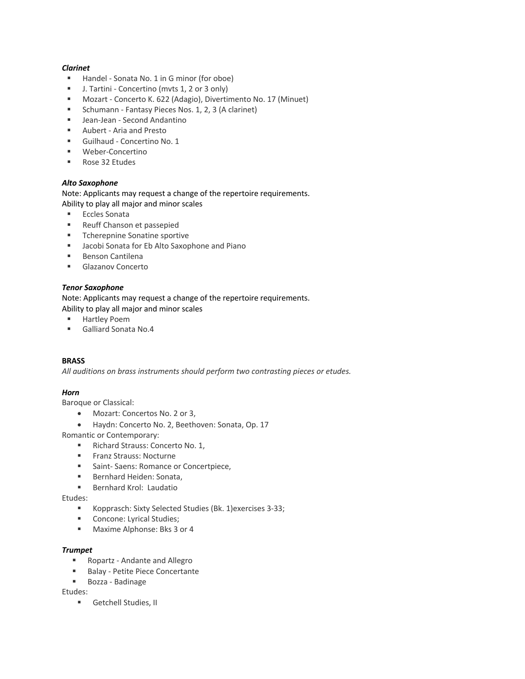## *Clarinet*

- Handel Sonata No. 1 in G minor (for oboe)
- J. Tartini Concertino (mvts 1, 2 or 3 only)
- Mozart Concerto K. 622 (Adagio), Divertimento No. 17 (Minuet)
- Schumann Fantasy Pieces Nos. 1, 2, 3 (A clarinet)
- Jean-Jean Second Andantino
- Aubert Aria and Presto
- § Guilhaud Concertino No. 1
- Weber-Concertino
- Rose 32 Etudes

### *Alto Saxophone*

Note: Applicants may request a change of the repertoire requirements. Ability to play all major and minor scales

- Eccles Sonata
- Reuff Chanson et passepied
- Tcherepnine Sonatine sportive
- Jacobi Sonata for Eb Alto Saxophone and Piano
- Benson Cantilena
- Glazanov Concerto

### *Tenor Saxophone*

Note: Applicants may request a change of the repertoire requirements. Ability to play all major and minor scales

- Hartley Poem
- § Galliard Sonata No.4

### **BRASS**

*All auditions on brass instruments should perform two contrasting pieces or etudes.*

### *Horn*

Baroque or Classical:

- Mozart: Concertos No. 2 or 3,
- Haydn: Concerto No. 2, Beethoven: Sonata, Op. 17

Romantic or Contemporary:

- Richard Strauss: Concerto No. 1,
- Franz Strauss: Nocturne
- Saint- Saens: Romance or Concertpiece,
- Bernhard Heiden: Sonata,
- Bernhard Krol: Laudatio

### Etudes:

- Kopprasch: Sixty Selected Studies (Bk. 1)exercises 3-33;
- Concone: Lyrical Studies;
- Maxime Alphonse: Bks 3 or 4

### *Trumpet*

- Ropartz Andante and Allegro
- Balay Petite Piece Concertante
- Bozza Badinage

Etudes:

■ Getchell Studies, II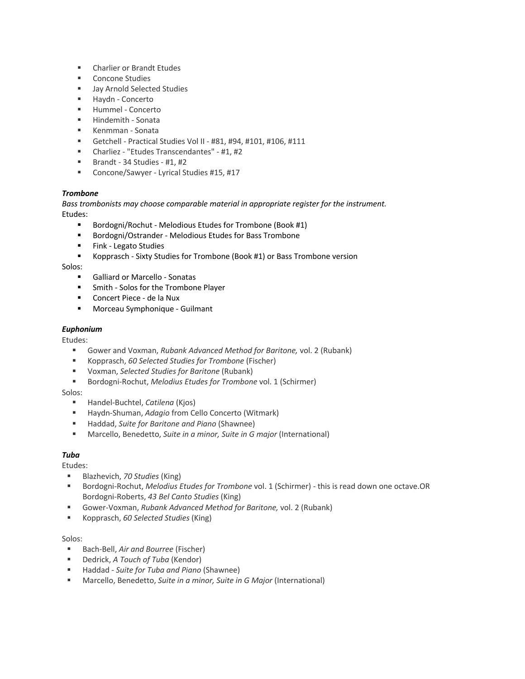- Charlier or Brandt Etudes
- Concone Studies
- Jay Arnold Selected Studies
- Haydn Concerto
- § Hummel Concerto
- § Hindemith Sonata
- Kenmman Sonata
- § Getchell Practical Studies Vol II #81, #94, #101, #106, #111
- § Charliez "Etudes Transcendantes" #1, #2
- **Brandt** 34 Studies #1, #2
- Concone/Sawyer Lyrical Studies #15, #17

## *Trombone*

*Bass trombonists may choose comparable material in appropriate register for the instrument.* Etudes:

- Bordogni/Rochut Melodious Etudes for Trombone (Book #1)
- Bordogni/Ostrander Melodious Etudes for Bass Trombone
- Fink Legato Studies
- § Kopprasch Sixty Studies for Trombone (Book #1) or Bass Trombone version

Solos:

- Galliard or Marcello Sonatas
- Smith Solos for the Trombone Player
- Concert Piece de la Nux
- Morceau Symphonique Guilmant

### *Euphonium*

Etudes:

- § Gower and Voxman, *Rubank Advanced Method for Baritone,* vol. 2 (Rubank)
- Kopprasch, *60 Selected Studies for Trombone* (Fischer)
- § Voxman, *Selected Studies for Baritone* (Rubank)
- Bordogni-Rochut, *Melodius Etudes for Trombone* vol. 1 (Schirmer)

Solos:

- Handel-Buchtel, *Catilena* (Kjos)
- Haydn-Shuman, *Adagio* from Cello Concerto (Witmark)
- Haddad, *Suite for Baritone and Piano* (Shawnee)
- Marcello, Benedetto, Suite in a minor, Suite in G major (International)

## *Tuba*

### Etudes:

- Blazhevich, *70 Studies* (King)
- Bordogni-Rochut, *Melodius Etudes for Trombone* vol. 1 (Schirmer) this is read down one octave.OR Bordogni-Roberts, *43 Bel Canto Studies* (King)
- § Gower-Voxman, *Rubank Advanced Method for Baritone,* vol. 2 (Rubank)
- § Kopprasch, *60 Selected Studies* (King)

### Solos:

- Bach-Bell, *Air and Bourree* (Fischer)
- Dedrick, *A Touch of Tuba* (Kendor)
- Haddad *Suite for Tuba and Piano* (Shawnee)
- Marcello, Benedetto, *Suite in a minor, Suite in G Major* (International)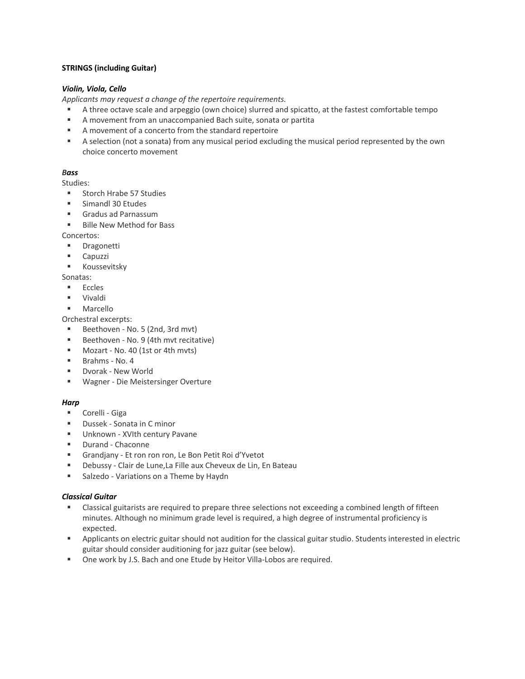## **STRINGS (including Guitar)**

## *Violin, Viola, Cello*

*Applicants may request a change of the repertoire requirements.*

- § A three octave scale and arpeggio (own choice) slurred and spicatto, at the fastest comfortable tempo
- A movement from an unaccompanied Bach suite, sonata or partita
- A movement of a concerto from the standard repertoire
- A selection (not a sonata) from any musical period excluding the musical period represented by the own choice concerto movement

# *Bass*

- Studies:
- Storch Hrabe 57 Studies
- § Simandl 30 Etudes
- Gradus ad Parnassum
- Bille New Method for Bass

Concertos:

- Dragonetti
- **Capuzzi**
- Koussevitsky

Sonatas:

- Eccles
- § Vivaldi
- § Marcello

Orchestral excerpts:

- Beethoven No. 5 (2nd, 3rd mvt)
- § Beethoven No. 9 (4th mvt recitative)
- Mozart No. 40 (1st or 4th mvts)
- § Brahms No. 4
- § Dvorak New World
- § Wagner Die Meistersinger Overture

# *Harp*

- Corelli Giga
- Dussek Sonata in C minor
- Unknown XVIth century Pavane
- § Durand Chaconne
- § Grandjany Et ron ron ron, Le Bon Petit Roi d'Yvetot
- Debussy Clair de Lune, La Fille aux Cheveux de Lin, En Bateau
- Salzedo Variations on a Theme by Haydn

# *Classical Guitar*

- Classical guitarists are required to prepare three selections not exceeding a combined length of fifteen minutes. Although no minimum grade level is required, a high degree of instrumental proficiency is expected.
- § Applicants on electric guitar should not audition for the classical guitar studio. Students interested in electric guitar should consider auditioning for jazz guitar (see below).
- One work by J.S. Bach and one Etude by Heitor Villa-Lobos are required.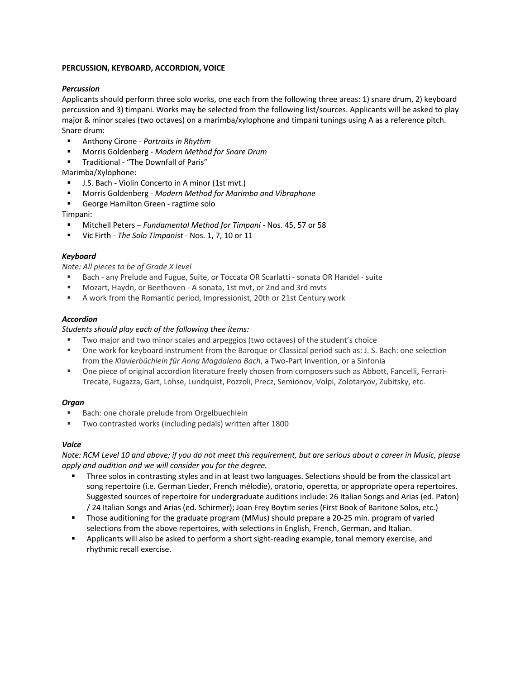### **PERCUSSION, KEYBOARD, ACCORDION, VOICE**

## *Percussion*

Applicants should perform three solo works, one each from the following three areas: 1) snare drum, 2) keyboard percussion and 3) timpani. Works may be selected from the following list/sources. Applicants will be asked to play major & minor scales (two octaves) on a marimba/xylophone and timpani tunings using A as a reference pitch. Snare drum:

- § Anthony Cirone *Portraits in Rhythm*
- § Morris Goldenberg *Modern Method for Snare Drum*
- § Traditional "The Downfall of Paris"

Marimba/Xylophone:

- J.S. Bach Violin Concerto in A minor (1st mvt.)
- § Morris Goldenberg *Modern Method for Marimba and Vibraphone*
- § George Hamilton Green ragtime solo

Timpani:

- § Mitchell Peters *Fundamental Method for Timpani*  Nos. 45, 57 or 58
- § Vic Firth *The Solo Timpanist* Nos. 1, 7, 10 or 11

### *Keyboard*

*Note: All pieces to be of Grade X level*

- § Bach any Prelude and Fugue, Suite, or Toccata OR Scarlatti sonata OR Handel suite
- § Mozart, Haydn, or Beethoven A sonata, 1st mvt, or 2nd and 3rd mvts
- § A work from the Romantic period, Impressionist, 20th or 21st Century work

### *Accordion*

### *Students should play each of the following thee items:*

- Two major and two minor scales and arpeggios (two octaves) of the student's choice
- One work for keyboard instrument from the Baroque or Classical period such as: J. S. Bach: one selection from the *Klavierbüchlein für Anna Magdalena Bach*, a Two-Part Invention, or a Sinfonia
- One piece of original accordion literature freely chosen from composers such as Abbott, Fancelli, Ferrari-Trecate, Fugazza, Gart, Lohse, Lundquist, Pozzoli, Precz, Semionov, Volpi, Zolotaryov, Zubitsky, etc.

### *Organ*

- Bach: one chorale prelude from Orgelbuechlein
- § Two contrasted works (including pedals) written after 1800

### *Voice*

*Note: RCM Level 10 and above; if you do not meet this requirement, but are serious about a career in Music, please apply and audition and we will consider you for the degree.* 

- Three solos in contrasting styles and in at least two languages. Selections should be from the classical art song repertoire (i.e. German Lieder, French mélodie), oratorio, operetta, or appropriate opera repertoires. Suggested sources of repertoire for undergraduate auditions include: 26 Italian Songs and Arias (ed. Paton) / 24 Italian Songs and Arias (ed. Schirmer); Joan Frey Boytim series (First Book of Baritone Solos, etc.)
- § Those auditioning for the graduate program (MMus) should prepare a 20-25 min. program of varied selections from the above repertoires, with selections in English, French, German, and Italian.
- § Applicants will also be asked to perform a short sight-reading example, tonal memory exercise, and rhythmic recall exercise.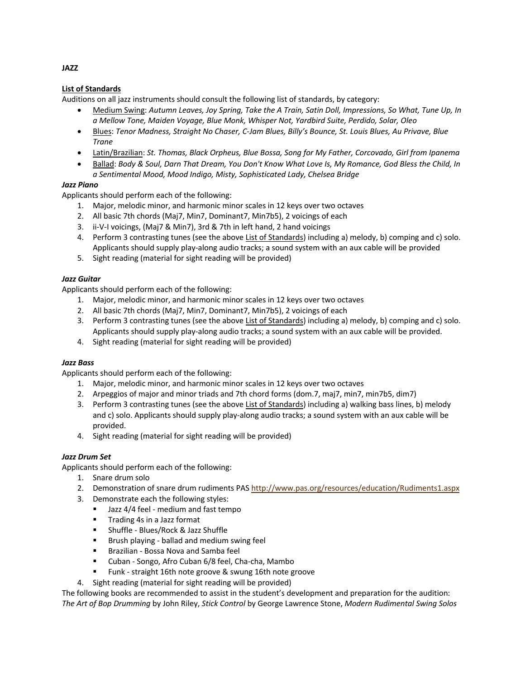# **List of Standards**

Auditions on all jazz instruments should consult the following list of standards, by category:

- Medium Swing: *Autumn Leaves, Joy Spring, Take the A Train, Satin Doll, Impressions, So What, Tune Up, In a Mellow Tone, Maiden Voyage, Blue Monk, Whisper Not, Yardbird Suite, Perdido, Solar, Oleo*
- Blues: *Tenor Madness, Straight No Chaser, C-Jam Blues, Billy's Bounce, St. Louis Blues, Au Privave, Blue Trane*
- Latin/Brazilian: *St. Thomas, Black Orpheus, Blue Bossa, Song for My Father, Corcovado, Girl from Ipanema*
- Ballad: *Body & Soul, Darn That Dream, You Don't Know What Love Is, My Romance, God Bless the Child, In a Sentimental Mood, Mood Indigo, Misty, Sophisticated Lady, Chelsea Bridge*

### *Jazz Piano*

Applicants should perform each of the following:

- 1. Major, melodic minor, and harmonic minor scales in 12 keys over two octaves
- 2. All basic 7th chords (Maj7, Min7, Dominant7, Min7b5), 2 voicings of each
- 3. ii-V-I voicings, (Maj7 & Min7), 3rd & 7th in left hand, 2 hand voicings
- 4. Perform 3 contrasting tunes (see the above List of Standards) including a) melody, b) comping and c) solo. Applicants should supply play-along audio tracks; a sound system with an aux cable will be provided
- 5. Sight reading (material for sight reading will be provided)

### *Jazz Guitar*

Applicants should perform each of the following:

- 1. Major, melodic minor, and harmonic minor scales in 12 keys over two octaves
- 2. All basic 7th chords (Maj7, Min7, Dominant7, Min7b5), 2 voicings of each
- 3. Perform 3 contrasting tunes (see the above List of Standards) including a) melody, b) comping and c) solo. Applicants should supply play-along audio tracks; a sound system with an aux cable will be provided.
- 4. Sight reading (material for sight reading will be provided)

### *Jazz Bass*

Applicants should perform each of the following:

- 1. Major, melodic minor, and harmonic minor scales in 12 keys over two octaves
- 2. Arpeggios of major and minor triads and 7th chord forms (dom.7, maj7, min7, min7b5, dim7)
- 3. Perform 3 contrasting tunes (see the above List of Standards) including a) walking bass lines, b) melody and c) solo. Applicants should supply play-along audio tracks; a sound system with an aux cable will be provided.
- 4. Sight reading (material for sight reading will be provided)

### *Jazz Drum Set*

Applicants should perform each of the following:

- 1. Snare drum solo
- 2. Demonstration of snare drum rudiments PAS http://www.pas.org/resources/education/Rudiments1.aspx
- 3. Demonstrate each the following styles:
	- Jazz 4/4 feel medium and fast tempo
	- Trading 4s in a Jazz format
	- Shuffle Blues/Rock & Jazz Shuffle
	- Brush playing ballad and medium swing feel
	- Brazilian Bossa Nova and Samba feel
	- § Cuban Songo, Afro Cuban 6/8 feel, Cha-cha, Mambo
	- § Funk straight 16th note groove & swung 16th note groove
- 4. Sight reading (material for sight reading will be provided)

The following books are recommended to assist in the student's development and preparation for the audition: *The Art of Bop Drumming* by John Riley, *Stick Control* by George Lawrence Stone, *Modern Rudimental Swing Solos* 

### **JAZZ**